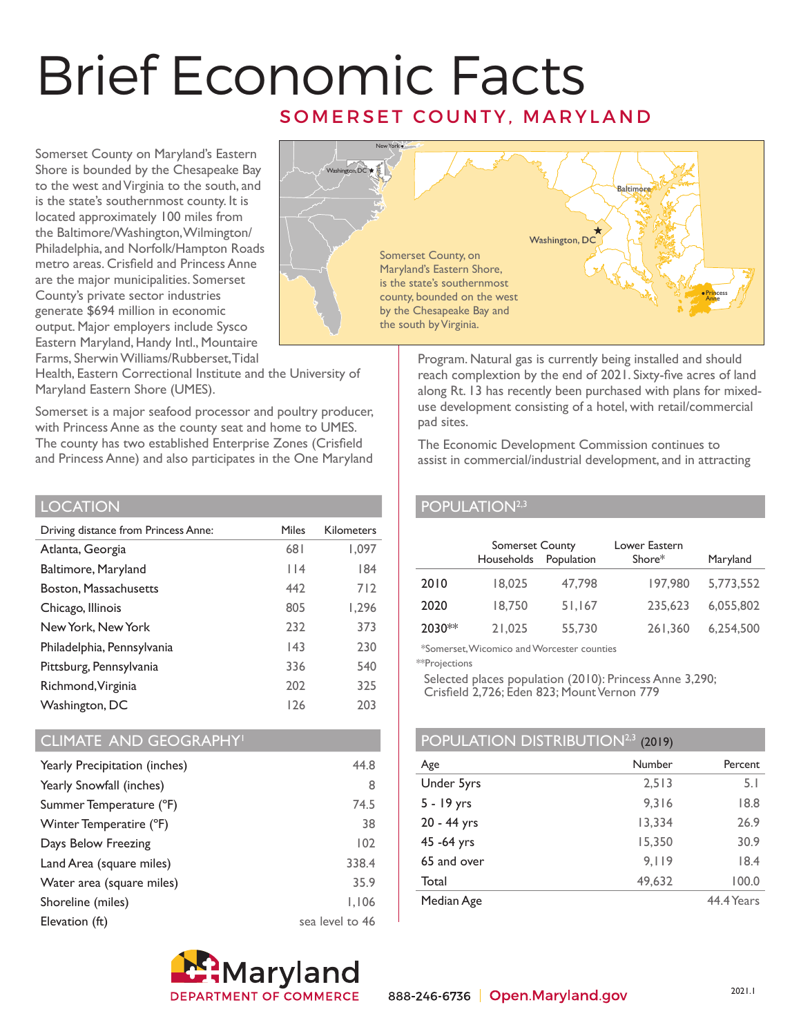# Brief Economic Facts SOMERSET COUNTY, MARYLAND

Somerset County on Maryland's Eastern Shore is bounded by the Chesapeake Bay to the west and Virginia to the south, and is the state's southernmost county. It is located approximately 100 miles from the Baltimore/Washington, Wilmington/ Philadelphia, and Norfolk/Hampton Roads metro areas. Crisfield and Princess Anne are the major municipalities. Somerset County's private sector industries generate \$694 million in economic output. Major employers include Sysco Eastern Maryland, Handy Intl., Mountaire Farms, Sherwin Williams/Rubberset, Tidal



Program. Natural gas is currently being installed and should reach complextion by the end of 2021. Sixty-five acres of land along Rt. 13 has recently been purchased with plans for mixeduse development consisting of a hotel, with retail/commercial pad sites.

The Economic Development Commission continues to assist in commercial/industrial development, and in attracting

## POPULATION<sup>2,3</sup>

|        | Somerset County<br>Households | Population | Lower Eastern<br>Shore* | Maryland  |
|--------|-------------------------------|------------|-------------------------|-----------|
| 2010   | 18,025                        | 47,798     | 197.980                 | 5,773,552 |
| 2020   | 18,750                        | 51,167     | 235,623                 | 6,055,802 |
| 2030** | 21,025                        | 55,730     | 261,360                 | 6,254,500 |

\*Somerset, Wicomico and Worcester counties

\*\*Projections

Selected places population (2010): Princess Anne 3,290;

Crisfield 2,726; Eden 823; Mount Vernon 779

## POPULATION DISTRIBUTION<sup>2,3</sup> (2019)

| Number | Percent    |
|--------|------------|
| 2,513  | 5.1        |
| 9.316  | 18.8       |
| 13,334 | 26.9       |
| 15.350 | 30.9       |
| 9,119  | 18.4       |
| 49,632 | 100.0      |
|        | 44.4 Years |
|        |            |

### Health, Eastern Correctional Institute and the University of Maryland Eastern Shore (UMES).

Somerset is a major seafood processor and poultry producer, with Princess Anne as the county seat and home to UMES. The county has two established Enterprise Zones (Crisfield and Princess Anne) and also participates in the One Maryland

### **LOCATION**

| <b>Miles</b> | <b>Kilometers</b> |
|--------------|-------------------|
| 681          | 1,097             |
| $ $  4       | 184               |
| 442          | 712               |
| 805          | 1,296             |
| 232          | 373               |
| 143          | 230               |
| 336          | 540               |
| 202          | 325               |
| 126          | 203               |
|              |                   |

## CLIMATE AND GEOGRAPHY1

| Yearly Precipitation (inches) | 44.8            |
|-------------------------------|-----------------|
| Yearly Snowfall (inches)      | 8               |
| Summer Temperature (°F)       | 74.5            |
| Winter Temperatire (°F)       | 38              |
| Days Below Freezing           | 102             |
| Land Area (square miles)      | 338.4           |
| Water area (square miles)     | 35.9            |
| Shoreline (miles)             | 1.106           |
| Elevation (ft)                | sea level to 46 |

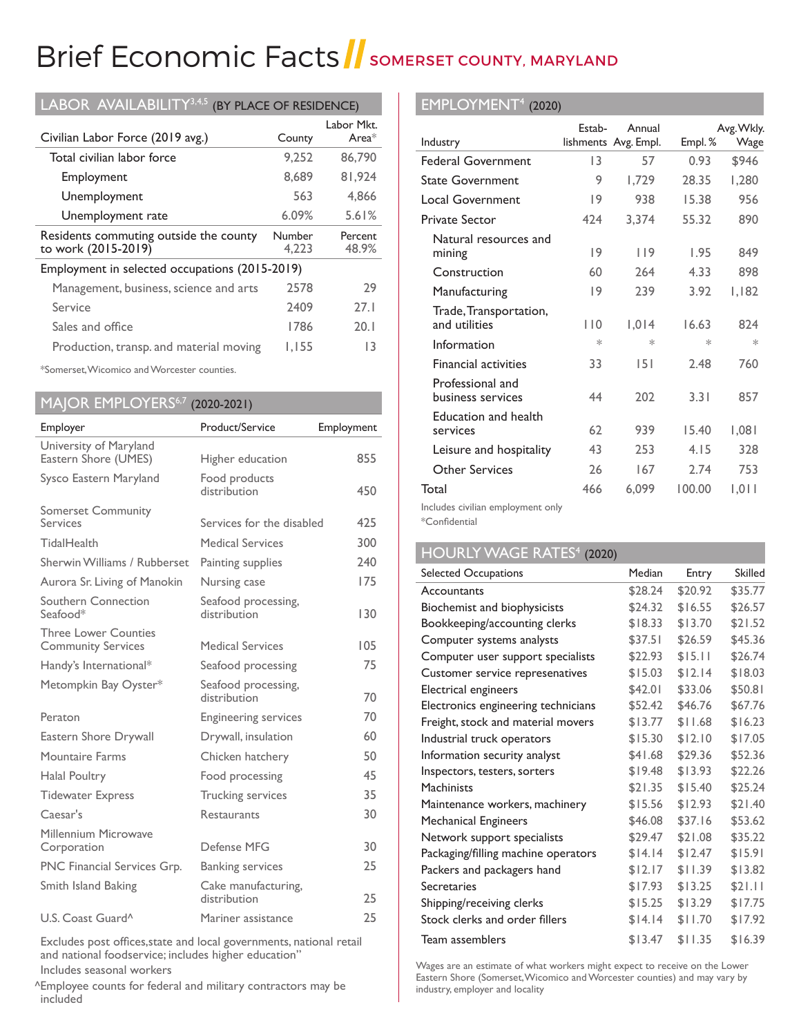# Brief Economic Facts SomERSET COUNTY, MARYLAND

| LABOR AVAILABILITY <sup>3,4,5</sup><br>(BY PLACE OF RESIDENCE) |                 |                        |  |
|----------------------------------------------------------------|-----------------|------------------------|--|
| Civilian Labor Force (2019 avg.)                               | County          | Labor Mkt.<br>Area $*$ |  |
| Total civilian labor force                                     | 9.252           | 86,790                 |  |
| Employment                                                     | 8.689           | 81.924                 |  |
| Unemployment                                                   | 563             | 4.866                  |  |
| Unemployment rate                                              | $6.09\%$        | 5.61%                  |  |
| Residents commuting outside the county<br>to work (2015-2019)  | Number<br>4.223 | Percent<br>48.9%       |  |
| Employment in selected occupations (2015-2019)                 |                 |                        |  |
| Management, business, science and arts                         | 2578            | 29                     |  |
| Service                                                        | 2409            | 27.1                   |  |
| Sales and office                                               | 1786            | 20.1                   |  |
| Production, transp. and material moving                        | I.I55           | 13                     |  |

\*Somerset, Wicomico and Worcester counties.

|  |  |  | MAJOR EMPLOYERS <sup>6,7</sup> (2020-2021) |
|--|--|--|--------------------------------------------|
|--|--|--|--------------------------------------------|

| Employer                                                 | Product/Service                     | Employment |
|----------------------------------------------------------|-------------------------------------|------------|
| University of Maryland<br>Eastern Shore (UMES)           | Higher education                    | 855        |
| Sysco Eastern Maryland                                   | Food products<br>distribution       | 450        |
| <b>Somerset Community</b><br>Services                    | Services for the disabled           | 425        |
| TidalHealth                                              | <b>Medical Services</b>             | 300        |
| Sherwin Williams / Rubberset                             | Painting supplies                   | 240        |
| Aurora Sr. Living of Manokin                             | Nursing case                        | 175        |
| Southern Connection<br>Seafood*                          | Seafood processing,<br>distribution | 130        |
| <b>Three Lower Counties</b><br><b>Community Services</b> | <b>Medical Services</b>             | 105        |
| Handy's International*                                   | Seafood processing                  | 75         |
| Metompkin Bay Oyster*                                    | Seafood processing,<br>distribution | 70         |
| Peraton                                                  | <b>Engineering services</b>         | 70         |
| Eastern Shore Drywall                                    | Drywall, insulation                 | 60         |
| Mountaire Farms                                          | Chicken hatchery                    | 50         |
| Halal Poultry                                            | Food processing                     | 45         |
| <b>Tidewater Express</b>                                 | <b>Trucking services</b>            | 35         |
| Caesar's                                                 | Restaurants                         | 30         |
| Millennium Microwave<br>Corporation                      | Defense MFG                         | 30         |
| PNC Financial Services Grp.                              | <b>Banking services</b>             | 25         |
| Smith Island Baking                                      | Cake manufacturing,<br>distribution | 25         |
| U.S. Coast Guard <sup>^</sup>                            | Mariner assistance                  | 25         |

Excludes post offices,state and local governments, national retail and national foodservice; includes higher education" Includes seasonal workers

Employee counts for federal and military contractors may be ^ included

## EMPLOYMENT4 (2020)

|                                         | Estab- | Annual               |        | Avg. Wkly. |
|-----------------------------------------|--------|----------------------|--------|------------|
| Industry                                |        | lishments Avg. Empl. | Empl.% | Wage       |
| <b>Federal Government</b>               | 13     | 57                   | 0.93   | \$946      |
| <b>State Government</b>                 | 9      | 1,729                | 28.35  | 1,280      |
| <b>Local Government</b>                 | 9      | 938                  | 15.38  | 956        |
| <b>Private Sector</b>                   | 424    | 3,374                | 55.32  | 890        |
| Natural resources and<br>mining         | 9      | 119                  | 1.95   | 849        |
| Construction                            | 60     | 264                  | 4.33   | 898        |
| Manufacturing                           | 9      | 239                  | 3.92   | 1,182      |
| Trade, Transportation,<br>and utilities | 110    | 1,014                | 16.63  | 824        |
| Information                             | $\ast$ | ∗                    | $\ast$ | $\ast$     |
| <b>Financial activities</b>             | 33     | 151                  | 2.48   | 760        |
| Professional and<br>business services   | 44     | 202                  | 3.31   | 857        |
| Education and health<br>services        | 62     | 939                  | 15.40  | 1,081      |
| Leisure and hospitality                 | 43     | 253                  | 4.15   | 328        |
| Other Services                          | 26     | 167                  | 2.74   | 753        |
| Total                                   | 466    | 6,099                | 100.00 | 1.011      |
| <b>I</b> I I I I I                      |        |                      |        |            |

Includes civilian employment only

\*Confidential

## HOURLY WAGE RATES<sup>4</sup> (2020)

| Selected Occupations                | Median  | Entry   | <b>Skilled</b> |
|-------------------------------------|---------|---------|----------------|
| Accountants                         | \$28.24 | \$20.92 | \$35.77        |
| Biochemist and biophysicists        | \$24.32 | \$16.55 | \$26.57        |
| Bookkeeping/accounting clerks       | \$18.33 | \$13.70 | \$21.52        |
| Computer systems analysts           | \$37.51 | \$26.59 | \$45.36        |
| Computer user support specialists   | \$22.93 | \$15.11 | \$26.74        |
| Customer service represenatives     | \$15.03 | \$12.14 | \$18.03        |
| Electrical engineers                | \$42.01 | \$33.06 | \$50.81        |
| Electronics engineering technicians | \$52.42 | \$46.76 | \$67.76        |
| Freight, stock and material movers  | \$13.77 | \$11.68 | \$16.23        |
| Industrial truck operators          | \$15.30 | \$12.10 | \$17.05        |
| Information security analyst        | \$41.68 | \$29.36 | \$52.36        |
| Inspectors, testers, sorters        | \$19.48 | \$13.93 | \$22.26        |
| <b>Machinists</b>                   | \$21.35 | \$15.40 | \$25.24        |
| Maintenance workers, machinery      | \$15.56 | \$12.93 | \$21.40        |
| <b>Mechanical Engineers</b>         | \$46.08 | \$37.16 | \$53.62        |
| Network support specialists         | \$29.47 | \$21.08 | \$35.22        |
| Packaging/filling machine operators | \$14.14 | \$12.47 | \$15.91        |
| Packers and packagers hand          | \$12.17 | \$11.39 | \$13.82        |
| Secretaries                         | \$17.93 | \$13.25 | \$21.11        |
| Shipping/receiving clerks           | \$15.25 | \$13.29 | \$17.75        |
| Stock clerks and order fillers      | \$14.14 | \$11.70 | \$17.92        |
| Team assemblers                     | \$13.47 | \$11.35 | \$16.39        |

Wages are an estimate of what workers might expect to receive on the Lower Eastern Shore (Somerset, Wicomico and Worcester counties) and may vary by industry, employer and locality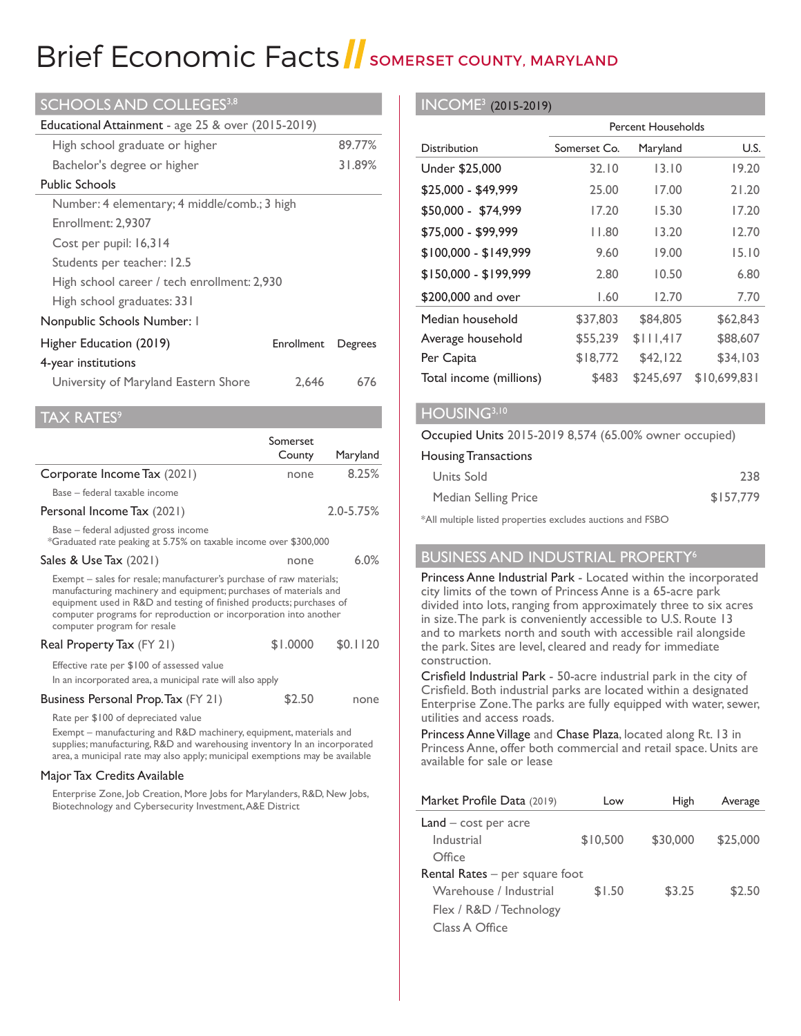## Brief Economic Facts SOMERSET COUNTY, MARYLAND

|  |  |  |  |  | <b>SCHOOLS AND COLLEGES3,8</b> |
|--|--|--|--|--|--------------------------------|
|--|--|--|--|--|--------------------------------|

| <b>Educational Attainment</b> - age 25 $\&$ over (2015-2019) |            |         |
|--------------------------------------------------------------|------------|---------|
| High school graduate or higher                               |            | 89.77%  |
| Bachelor's degree or higher                                  |            | 31.89%  |
| <b>Public Schools</b>                                        |            |         |
| Number: 4 elementary; 4 middle/comb.; 3 high                 |            |         |
| Enrollment: 2.9307                                           |            |         |
| Cost per pupil: 16,314                                       |            |         |
| Students per teacher: 12.5                                   |            |         |
| High school career / tech enrollment: 2,930                  |            |         |
| High school graduates: 331                                   |            |         |
| Nonpublic Schools Number: I                                  |            |         |
| Higher Education (2019)                                      | Enrollment | Degrees |
| 4-year institutions                                          |            |         |
| University of Maryland Eastern Shore                         | 2.646      | 676     |
|                                                              |            |         |

 $AX RATES<sup>9</sup>$ 

|                                                                                                                                                                                                                                                                                                                      | Somerset |               |
|----------------------------------------------------------------------------------------------------------------------------------------------------------------------------------------------------------------------------------------------------------------------------------------------------------------------|----------|---------------|
|                                                                                                                                                                                                                                                                                                                      | County   | Maryland      |
| Corporate Income Tax (2021)                                                                                                                                                                                                                                                                                          | none     | $8.25\%$      |
| Base – federal taxable income                                                                                                                                                                                                                                                                                        |          |               |
| Personal Income Tax (2021)                                                                                                                                                                                                                                                                                           |          | $2.0 - 5.75%$ |
| Base - federal adjusted gross income<br>*Graduated rate peaking at 5.75% on taxable income over \$300,000                                                                                                                                                                                                            |          |               |
| Sales & Use Tax (2021)                                                                                                                                                                                                                                                                                               | none     | 6.0%          |
| Exempt – sales for resale; manufacturer's purchase of raw materials;<br>manufacturing machinery and equipment; purchases of materials and<br>equipment used in R&D and testing of finished products; purchases of<br>computer programs for reproduction or incorporation into another<br>computer program for resale |          |               |
| Real Property Tax (FY 21)                                                                                                                                                                                                                                                                                            | \$1.0000 | \$0.1120      |
| Effective rate per \$100 of assessed value<br>In an incorporated area, a municipal rate will also apply                                                                                                                                                                                                              |          |               |
| Business Personal Prop. Tax (FY 21)                                                                                                                                                                                                                                                                                  | \$2.50   | none          |
| Rate per \$100 of depreciated value<br>Exempt - manufacturing and R&D machinery, equipment, materials and<br>supplies; manufacturing, R&D and warehousing inventory In an incorporated<br>area, a municipal rate may also apply; municipal exemptions may be available                                               |          |               |

#### Major Tax Credits Available

Enterprise Zone, Job Creation, More Jobs for Marylanders, R&D, New Jobs, Biotechnology and Cybersecurity Investment, A&E District

#### INCOME3 (2015-2019)

|                         | <b>Percent Households</b> |           |              |
|-------------------------|---------------------------|-----------|--------------|
| <b>Distribution</b>     | Somerset Co.              | Maryland  | U.S.         |
| Under \$25,000          | 32.10                     | 13.10     | 19.20        |
| \$25,000 - \$49,999     | 25.00                     | 17.00     | 21.20        |
| \$50,000 - \$74,999     | 17.20                     | 15.30     | 17.20        |
| \$75,000 - \$99,999     | 11.80                     | 13.20     | 12.70        |
| $$100,000 - $149,999$   | 9.60                      | 19.00     | 15.10        |
| $$150,000 - $199,999$   | 2.80                      | 10.50     | 6.80         |
| \$200,000 and over      | 1.60                      | 12.70     | 7.70         |
| Median household        | \$37,803                  | \$84,805  | \$62,843     |
| Average household       | \$55,239                  | \$111,417 | \$88,607     |
| Per Capita              | \$18,772                  | \$42,122  | \$34,103     |
| Total income (millions) | \$483                     | \$245,697 | \$10,699,831 |

#### HOUSING<sup>3,10</sup>

#### Occupied Units 2015-2019 8,574 (65.00% owner occupied)

#### Housing Transactions

| Units Sold           | 238       |
|----------------------|-----------|
| Median Selling Price | \$157.779 |

\*All multiple listed properties excludes auctions and FSBO

#### BUSINESS AND INDUSTRIAL PROPERTY<sup>6</sup>

Princess Anne Industrial Park - Located within the incorporated city limits of the town of Princess Anne is a 65-acre park divided into lots, ranging from approximately three to six acres in size. The park is conveniently accessible to U.S. Route 13 and to markets north and south with accessible rail alongside the park. Sites are level, cleared and ready for immediate construction.

Crisfield Industrial Park - 50-acre industrial park in the city of Crisfield. Both industrial parks are located within a designated Enterprise Zone. The parks are fully equipped with water, sewer, utilities and access roads.

Princess Anne Village and Chase Plaza, located along Rt. 13 in Princess Anne, offer both commercial and retail space. Units are available for sale or lease

| Market Profile Data (2019)       | Low      | High     | Average  |
|----------------------------------|----------|----------|----------|
| $Land - cost per acre$           |          |          |          |
| Industrial                       | \$10,500 | \$30,000 | \$25,000 |
| Office                           |          |          |          |
| Rental Rates $-$ per square foot |          |          |          |
| Warehouse / Industrial           | \$1.50   | \$3.25   | \$2.50   |
| Flex / R&D / Technology          |          |          |          |
| Class A Office                   |          |          |          |